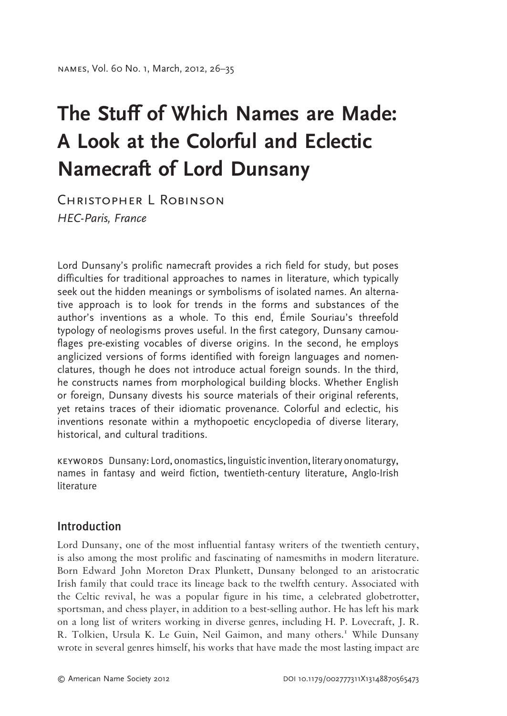# **The Stuff of Which Names are Made: A Look at the Colorful and Eclectic Namecraft of Lord Dunsany**

Christopher L Robinson*HEC-Paris, France*

Lord Dunsany's prolific namecraft provides a rich field for study, but poses difficulties for traditional approaches to names in literature, which typically seek out the hidden meanings or symbolisms of isolated names. An alternative approach is to look for trends in the forms and substances of the author's inventions as a whole. To this end, Émile Souriau's threefold typology of neologisms proves useful. In the first category, Dunsany camouflages pre-existing vocables of diverse origins. In the second, he employs anglicized versions of forms identified with foreign languages and nomenclatures, though he does not introduce actual foreign sounds. In the third, he constructs names from morphological building blocks. Whether English or foreign, Dunsany divests his source materials of their original referents, yet retains traces of their idiomatic provenance. Colorful and eclectic, his inventions resonate within a mythopoetic encyclopedia of diverse literary, historical, and cultural traditions.

keywords Dunsany: Lord, onomastics, linguistic invention, literary onomaturg y, names in fantasy and weird fiction, twentieth-century literature, Anglo-Irish literature

# Introduction

Lord Dunsany, one of the most influential fantasy writers of the twentieth century, is also among the most prolific and fascinating of namesmiths in modern literature. Born Edward John Moreton Drax Plunkett, Dunsany belonged to an aristocratic Irish family that could trace its lineage back to the twelfth century. Associated with the Celtic revival, he was a popular figure in his time, a celebrated globetrotter, sportsman, and chess player, in addition to a best-selling author. He has left his mark on a long list of writers working in diverse genres, including H. P. Lovecraft, J. R. R. Tolkien, Ursula K. Le Guin, Neil Gaimon, and many others.<sup>1</sup> While Dunsany wrote in several genres himself, his works that have made the most lasting impact are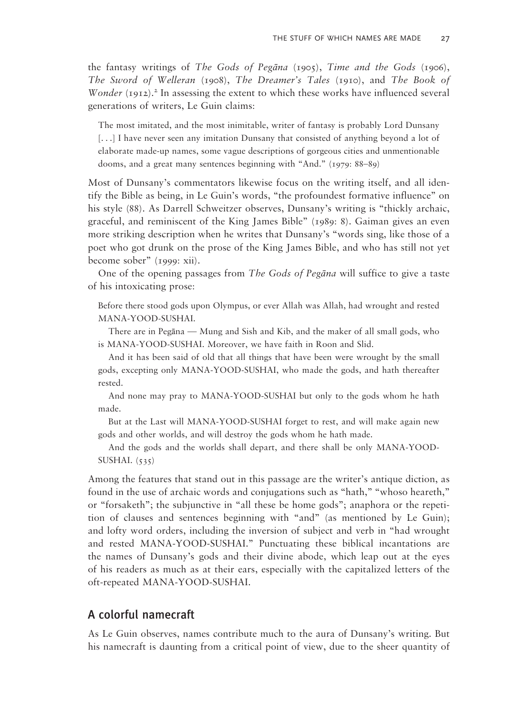the fantasy writings of *The Gods of Pegāna* (1905), *Time and the Gods* (1906), *The Sword of Welleran* (1908), *The Dreamer's Tales* (1910), and *The Book of*  Wonder (1912).<sup>2</sup> In assessing the extent to which these works have influenced several generations of writers, Le Guin claims:

The most imitated, and the most inimitable, writer of fantasy is probably Lord Dunsany [...] I have never seen any imitation Dunsany that consisted of anything beyond a lot of elaborate made-up names, some vague descriptions of gorgeous cities and unmentionable dooms, and a great many sentences beginning with "And." (1979: 88–89)

Most of Dunsany's commentators likewise focus on the writing itself, and all identify the Bible as being, in Le Guin's words, "the profoundest formative influence" on his style (88). As Darrell Schweitzer observes, Dunsany's writing is "thickly archaic, graceful, and reminiscent of the King James Bible" (1989: 8). Gaiman gives an even more striking description when he writes that Dunsany's "words sing, like those of a poet who got drunk on the prose of the King James Bible, and who has still not yet become sober" (1999: xii).

One of the opening passages from *The Gods of Pegāna* will suffice to give a taste of his intoxicating prose:

Before there stood gods upon Olympus, or ever Allah was Allah, had wrought and rested MANA-YOOD-SUSHAI.

There are in Pegāna — Mung and Sish and Kib, and the maker of all small gods, who is MANA-YOOD-SUSHAI. Moreover, we have faith in Roon and Slid.

And it has been said of old that all things that have been were wrought by the small gods, excepting only MANA-YOOD-SUSHAI, who made the gods, and hath thereafter rested.

And none may pray to MANA-YOOD-SUSHAI but only to the gods whom he hath made.

But at the Last will MANA-YOOD-SUSHAI forget to rest, and will make again new gods and other worlds, and will destroy the gods whom he hath made.

And the gods and the worlds shall depart, and there shall be only MANA-YOOD-SUSHAI. (535)

Among the features that stand out in this passage are the writer's antique diction, as found in the use of archaic words and conjugations such as "hath," "whoso heareth," or "forsaketh"; the subjunctive in "all these be home gods"; anaphora or the repetition of clauses and sentences beginning with "and" (as mentioned by Le Guin); and lofty word orders, including the inversion of subject and verb in "had wrought and rested MANA-YOOD-SUSHAI." Punctuating these biblical incantations are the names of Dunsany's gods and their divine abode, which leap out at the eyes of his readers as much as at their ears, especially with the capitalized letters of the oft-repeated MANA-YOOD-SUSHAI.

## A colorful namecraft

As Le Guin observes, names contribute much to the aura of Dunsany's writing. But his namecraft is daunting from a critical point of view, due to the sheer quantity of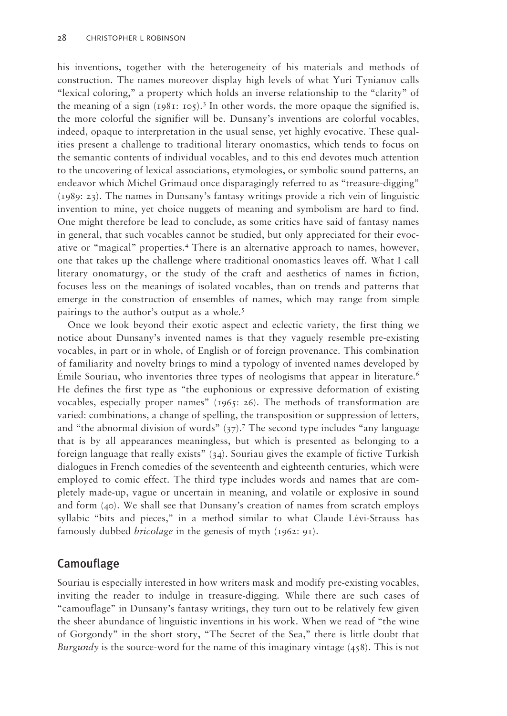his inventions, together with the heterogeneity of his materials and methods of construction. The names moreover display high levels of what Yuri Tynianov calls "lexical coloring," a property which holds an inverse relationship to the "clarity" of the meaning of a sign  $(1981: 105)$ .<sup>3</sup> In other words, the more opaque the signified is, the more colorful the signifier will be. Dunsany's inventions are colorful vocables, indeed, opaque to interpretation in the usual sense, yet highly evocative. These qualities present a challenge to traditional literary onomastics, which tends to focus on the semantic contents of individual vocables, and to this end devotes much attention to the uncovering of lexical associations, etymologies, or symbolic sound patterns, an endeavor which Michel Grimaud once disparagingly referred to as "treasure-digging" (1989: 23). The names in Dunsany's fantasy writings provide a rich vein of linguistic invention to mine, yet choice nuggets of meaning and symbolism are hard to find. One might therefore be lead to conclude, as some critics have said of fantasy names in general, that such vocables cannot be studied, but only appreciated for their evocative or "magical" properties.4 There is an alternative approach to names, however, one that takes up the challenge where traditional onomastics leaves off. What I call literary onomaturgy, or the study of the craft and aesthetics of names in fiction, focuses less on the meanings of isolated vocables, than on trends and patterns that emerge in the construction of ensembles of names, which may range from simple pairings to the author's output as a whole.<sup>5</sup>

Once we look beyond their exotic aspect and eclectic variety, the first thing we notice about Dunsany's invented names is that they vaguely resemble pre-existing vocables, in part or in whole, of English or of foreign provenance. This combination of familiarity and novelty brings to mind a typology of invented names developed by Émile Souriau, who inventories three types of neologisms that appear in literature.6 He defines the first type as "the euphonious or expressive deformation of existing vocables, especially proper names" (1965: 26). The methods of transformation are varied: combinations, a change of spelling, the transposition or suppression of letters, and "the abnormal division of words" (37).<sup>7</sup> The second type includes "any language that is by all appearances meaningless, but which is presented as belonging to a foreign language that really exists"  $(34)$ . Souriau gives the example of fictive Turkish dialogues in French comedies of the seventeenth and eighteenth centuries, which were employed to comic effect. The third type includes words and names that are completely made-up, vague or uncertain in meaning, and volatile or explosive in sound and form (40). We shall see that Dunsany's creation of names from scratch employs syllabic "bits and pieces," in a method similar to what Claude Lévi-Strauss has famously dubbed *bricolage* in the genesis of myth (1962: 91).

## Camouflage

Souriau is especially interested in how writers mask and modify pre-existing vocables, inviting the reader to indulge in treasure-digging. While there are such cases of "camouflage" in Dunsany's fantasy writings, they turn out to be relatively few given the sheer abundance of linguistic inventions in his work. When we read of "the wine of Gorgondy" in the short story, "The Secret of the Sea," there is little doubt that *Burgundy* is the source-word for the name of this imaginary vintage (458). This is not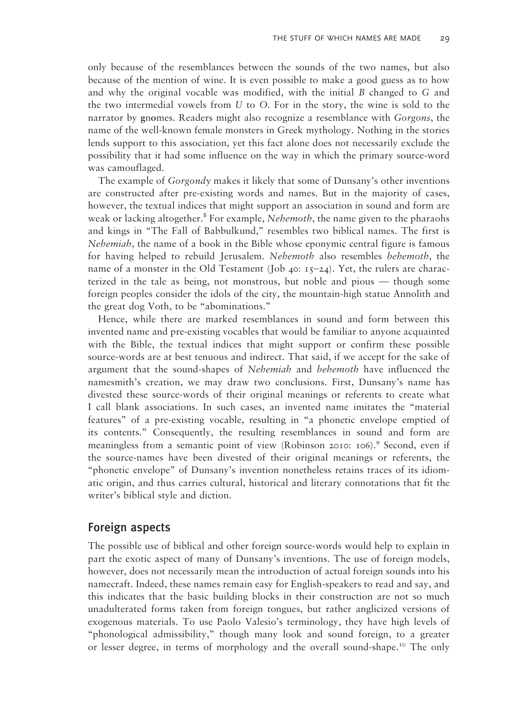only because of the resemblances between the sounds of the two names, but also because of the mention of wine. It is even possible to make a good guess as to how and why the original vocable was modified, with the initial *B* changed to *G* and the two intermedial vowels from *U* to *O*. For in the story, the wine is sold to the narrator by **g**n**o**mes. Readers might also recognize a resemblance with *Gorgons*, the name of the well-known female monsters in Greek mythology. Nothing in the stories lends support to this association, yet this fact alone does not necessarily exclude the possibility that it had some influence on the way in which the primary source-word was camouflaged.

The example of *Gorgondy* makes it likely that some of Dunsany's other inventions are constructed after pre-existing words and names. But in the majority of cases, however, the textual indices that might support an association in sound and form are weak or lacking altogether.<sup>8</sup> For example, *Nehemoth*, the name given to the pharaohs and kings in "The Fall of Babbulkund," resembles two biblical names. The first is *Nehemiah*, the name of a book in the Bible whose eponymic central figure is famous for having helped to rebuild Jerusalem. *Nehemoth* also resembles *behemoth*, the name of a monster in the Old Testament (Job 40:  $15-24$ ). Yet, the rulers are characterized in the tale as being, not monstrous, but noble and pious — though some foreign peoples consider the idols of the city, the mountain-high statue Annolith and the great dog Voth, to be "abominations."

Hence, while there are marked resemblances in sound and form between this invented name and pre-existing vocables that would be familiar to anyone acquainted with the Bible, the textual indices that might support or confirm these possible source-words are at best tenuous and indirect. That said, if we accept for the sake of argument that the sound-shapes of *Nehemiah* and *behemoth* have influenced the namesmith's creation, we may draw two conclusions. First, Dunsany's name has divested these source-words of their original meanings or referents to create what I call blank associations. In such cases, an invented name imitates the "material features" of a pre-existing vocable, resulting in "a phonetic envelope emptied of its contents." Consequently, the resulting resemblances in sound and form are meaningless from a semantic point of view (Robinson 2010: 106).<sup>9</sup> Second, even if the source-names have been divested of their original meanings or referents, the "phonetic envelope" of Dunsany's invention nonetheless retains traces of its idiomatic origin, and thus carries cultural, historical and literary connotations that fit the writer's biblical style and diction.

#### Foreign aspects

The possible use of biblical and other foreign source-words would help to explain in part the exotic aspect of many of Dunsany's inventions. The use of foreign models, however, does not necessarily mean the introduction of actual foreign sounds into his namecraft. Indeed, these names remain easy for English-speakers to read and say, and this indicates that the basic building blocks in their construction are not so much unadulterated forms taken from foreign tongues, but rather anglicized versions of exogenous materials. To use Paolo Valesio's terminology, they have high levels of "phonological admissibility," though many look and sound foreign, to a greater or lesser degree, in terms of morphology and the overall sound-shape.<sup>10</sup> The only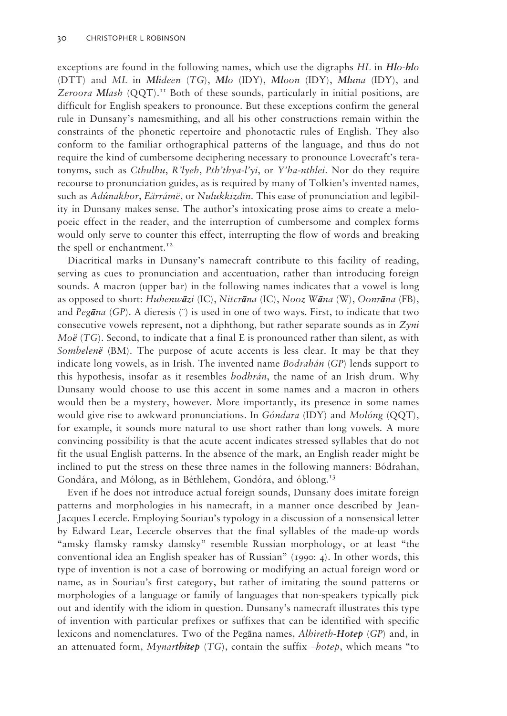exceptions are found in the following names, which use the digraphs *HL* in *Hlo-hlo* (DTT) and *ML* in *Mlideen* (*TG*), *Mlo* (IDY), *Mloon* (IDY), *Mluna* (IDY), and Zeroora Mlash (QQT).<sup>11</sup> Both of these sounds, particularly in initial positions, are difficult for English speakers to pronounce. But these exceptions confirm the general rule in Dunsany's namesmithing, and all his other constructions remain within the constraints of the phonetic repertoire and phonotactic rules of English. They also conform to the familiar orthographical patterns of the language, and thus do not require the kind of cumbersome deciphering necessary to pronounce Lovecraft's teratonyms, such as *Cthulhu*, *R'lyeh*, *Pth'thya-l'yi*, or *Y'ha-nthlei*. Nor do they require recourse to pronunciation guides, as is required by many of Tolkien's invented names, such as *Adûnakhor*, *Eärrámë*, or *Nulukkizdïn*. This ease of pronunciation and legibility in Dunsany makes sense. The author's intoxicating prose aims to create a melopoeic effect in the reader, and the interruption of cumbersome and complex forms would only serve to counter this effect, interrupting the flow of words and breaking the spell or enchantment.<sup>12</sup>

Diacritical marks in Dunsany's namecraft contribute to this facility of reading, serving as cues to pronunciation and accentuation, rather than introducing foreign sounds. A macron (upper bar) in the following names indicates that a vowel is long as opposed to short: *Huhenwāzi* (IC), *Nitcrāna* (IC), *Nooz Wāna* (W), *Oonrāna* (FB), and *Pegāna* (*GP*). A dieresis (¨) is used in one of two ways. First, to indicate that two consecutive vowels represent, not a diphthong, but rather separate sounds as in *Zyni Moë* (*TG*). Second, to indicate that a final E is pronounced rather than silent, as with *Sombelenë* (BM). The purpose of acute accents is less clear. It may be that they indicate long vowels, as in Irish. The invented name *Bodrahán* (*GP*) lends support to this hypothesis, insofar as it resembles *bodhrán*, the name of an Irish drum. Why Dunsany would choose to use this accent in some names and a macron in others would then be a mystery, however. More importantly, its presence in some names would give rise to awkward pronunciations. In *Góndara* (IDY) and *Molóng* (QQT), for example, it sounds more natural to use short rather than long vowels. A more convincing possibility is that the acute accent indicates stressed syllables that do not fit the usual English patterns. In the absence of the mark, an English reader might be inclined to put the stress on these three names in the following manners: Bódrahan, Gondára, and Mólong, as in Béthlehem, Gondóra, and óblong.13

Even if he does not introduce actual foreign sounds, Dunsany does imitate foreign patterns and morphologies in his namecraft, in a manner once described by Jean-Jacques Lecercle. Employing Souriau's typology in a discussion of a nonsensical letter by Edward Lear, Lecercle observes that the final syllables of the made-up words "amsky flamsky ramsky damsky" resemble Russian morphology, or at least "the conventional idea an English speaker has of Russian" (1990: 4). In other words, this type of invention is not a case of borrowing or modifying an actual foreign word or name, as in Souriau's first category, but rather of imitating the sound patterns or morphologies of a language or family of languages that non-speakers typically pick out and identify with the idiom in question. Dunsany's namecraft illustrates this type of invention with particular prefixes or suffixes that can be identified with specific lexicons and nomenclatures. Two of the Pegāna names, *Alhireth-Hotep* (*GP*) and, in an attenuated form, *Mynarthitep* (*TG*), contain the suffix *–hotep*, which means "to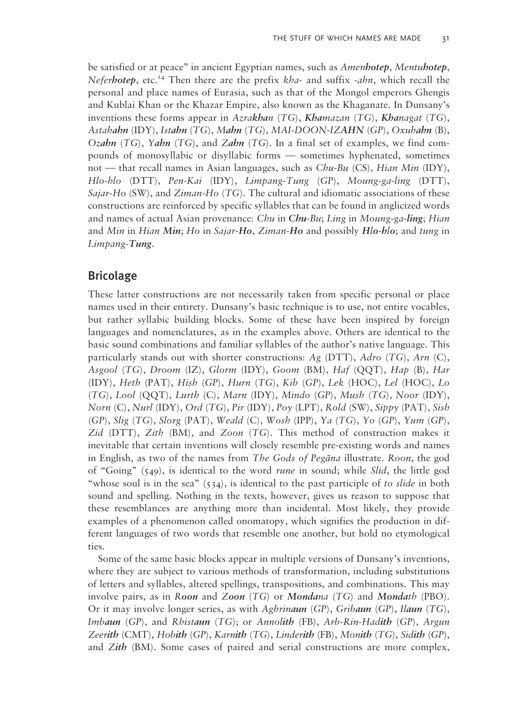be satisfied or at peace" in ancient Egyptian names, such as *Amenhotep*, *Mentuhotep*, *Neferhotep*, etc.14 Then there are the prefix *kha-* and suffix *-ahn*, which recall the personal and place names of Eurasia, such as that of the Mongol emperors Ghengis and Kublai Khan or the Khazar Empire, also known as the Khaganate. In Dunsany's inventions these forms appear in *Azrakhan* (*TG*), *Khamazan* (*TG*), *Khanagat* (*TG*), *Astahahn* (IDY), *Istahn* (*TG*), *Mahn* (*TG*), *MAI-DOON-IZAHN* (*GP*), *Oxuhahn* (B), *Ozahn* (*TG*), *Yahn* (*TG*), and *Zahn* (*TG*). In a final set of examples, we find compounds of monosyllabic or disyllabic forms — sometimes hyphenated, sometimes not — that recall names in Asian languages, such as *Chu-Bu* (CS), *Hian Min* (IDY), *Hlo-hlo* (DTT), *Pen-Kai* (IDY), *Limpang-Tung* (*GP*), *Moung-ga-ling* (DTT), *Sajar-Ho* (SW), and *Ziman-Ho* (*TG*). The cultural and idiomatic associations of these constructions are reinforced by specific syllables that can be found in anglicized words and names of actual Asian provenance: *Chu* in *Chu-Bu*; *Ling* in *Moung-ga-ling*; *Hian* and *Min* in *Hian Min*; *Ho* in *Sajar-Ho*, *Ziman-Ho* and possibly *Hlo-hlo*; and *tung* in *Limpang-Tung*.

### Bricolage

These latter constructions are not necessarily taken from specific personal or place names used in their entirety. Dunsany's basic technique is to use, not entire vocables, but rather syllabic building blocks. Some of these have been inspired by foreign languages and nomenclatures, as in the examples above. Others are identical to the basic sound combinations and familiar syllables of the author's native language. This particularly stands out with shorter constructions: *Ag* (DTT), *Adro* (*TG*), *Arn* (C), *Asgool* (*TG*), *Droom* (IZ), *Glorm* (IDY), *Goom* (BM), *Haf* (QQT), *Hap* (B), *Har* (IDY), *Heth* (PAT), *Hish* (*GP*), *Hurn* (*TG*), *Kib* (*GP*), *Lek* (HOC), *Lel* (HOC), *Lo* (*TG*), *Lool* (QQT), *Lurth* (C), *Marn* (IDY), *Mindo* (*GP*), *Mush* (*TG*), *Noor* (IDY), *Norn* (C), *Nurl* (IDY), *Ord* (*TG*), *Pir* (IDY), *Poy* (LPT), *Rold* (SW), *Sippy* (PAT), *Sish* (*GP*), *Slig* (*TG*), *Slorg* (PAT), *Weald* (C), *Wosh* (IPP), *Ya* (*TG*), *Yo* (*GP*), *Yum* (*GP*), *Zid* (DTT), *Zith* (BM), and *Zoon* (*TG*). This method of construction makes it inevitable that certain inventions will closely resemble pre-existing words and names in English, as two of the names from *The Gods of Pegāna* illustrate. *Roon*, the god of "Going" (549), is identical to the word *rune* in sound; while *Slid*, the little god "whose soul is in the sea" (534), is identical to the past participle of *to slide* in both sound and spelling. Nothing in the texts, however, gives us reason to suppose that these resemblances are anything more than incidental. Most likely, they provide examples of a phenomenon called onomatopy, which signifies the production in different languages of two words that resemble one another, but hold no etymological ties.

Some of the same basic blocks appear in multiple versions of Dunsany's inventions, where they are subject to various methods of transformation, including substitutions of letters and syllables, altered spellings, transpositions, and combinations. This may involve pairs, as in *Roon* and *Zoon* (*TG*) or *Mondana* (*TG*) and *Mondath* (PBO). Or it may involve longer series, as with *Aghrinaun* (*GP*), *Gribaun* (*GP*), *Ilaun* (*TG*), *Imbaun* (*GP*), and *Rhistaun* (*TG*); or *Annolith* (FB), *Arb-Rin-Hadith* (*GP*), *Argun Zeerith* (CMT), *Hobith* (*GP*), *Karnith* (*TG*), *Linderith* (FB), *Monith* (*TG*), *Sidith* (*GP*), and *Zith* (BM). Some cases of paired and serial constructions are more complex,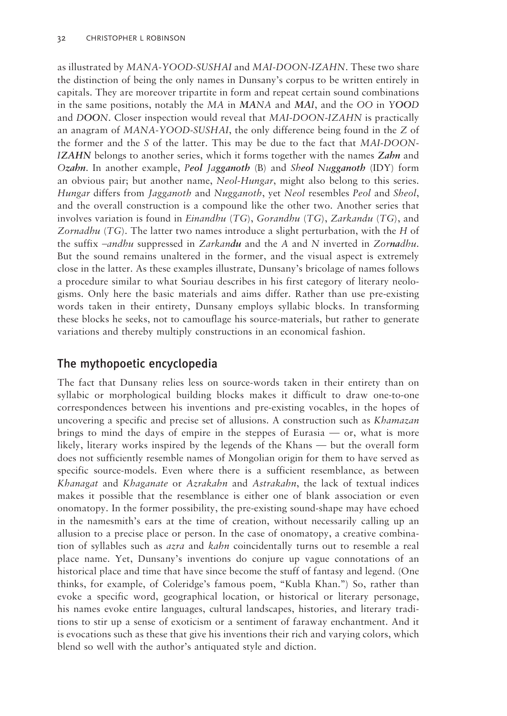as illustrated by *MANA-YOOD-SUSHAI* and *MAI-DOON-IZAHN*. These two share the distinction of being the only names in Dunsany's corpus to be written entirely in capitals. They are moreover tripartite in form and repeat certain sound combinations in the same positions, notably the *MA* in *MANA* and *MAI*, and the *OO* in *YOOD*  and *DOON*. Closer inspection would reveal that *MAI-DOON-IZAHN* is practically an anagram of *MANA-YOOD-SUSHAI*, the only difference being found in the *Z* of the former and the *S* of the latter. This may be due to the fact that *MAI-DOON-IZAHN* belongs to another series, which it forms together with the names *Zahn* and *Ozahn*. In another example, *Peol Jagganoth* (B) and *Sheol Nugganoth* (IDY) form an obvious pair; but another name, *Neol-Hungar*, might also belong to this series. *Hungar* differs from *Jagganoth* and *Nugganoth*, yet *Neol* resembles *Peol* and *Sheol*, and the overall construction is a compound like the other two. Another series that involves variation is found in *Einandhu* (*TG*), *Gorandhu* (*TG*), *Zarkandu* (*TG*), and *Zornadhu* (*TG*). The latter two names introduce a slight perturbation, with the *H* of the suffix *–andhu* suppressed in *Zarkandu* and the *A* and *N* inverted in *Zornadhu*. But the sound remains unaltered in the former, and the visual aspect is extremely close in the latter. As these examples illustrate, Dunsany's bricolage of names follows a procedure similar to what Souriau describes in his first category of literary neologisms. Only here the basic materials and aims differ. Rather than use pre-existing words taken in their entirety, Dunsany employs syllabic blocks. In transforming these blocks he seeks, not to camouflage his source-materials, but rather to generate variations and thereby multiply constructions in an economical fashion.

# The mythopoetic encyclopedia

The fact that Dunsany relies less on source-words taken in their entirety than on syllabic or morphological building blocks makes it difficult to draw one-to-one correspondences between his inventions and pre-existing vocables, in the hopes of uncovering a specific and precise set of allusions. A construction such as *Khamazan* brings to mind the days of empire in the steppes of Eurasia — or, what is more likely, literary works inspired by the legends of the Khans — but the overall form does not sufficiently resemble names of Mongolian origin for them to have served as specific source-models. Even where there is a sufficient resemblance, as between *Khanagat* and *Khaganate* or *Azrakahn* and *Astrakahn*, the lack of textual indices makes it possible that the resemblance is either one of blank association or even onomatopy. In the former possibility, the pre-existing sound-shape may have echoed in the namesmith's ears at the time of creation, without necessarily calling up an allusion to a precise place or person. In the case of onomatopy, a creative combination of syllables such as *azra* and *kahn* coincidentally turns out to resemble a real place name. Yet, Dunsany's inventions do conjure up vague connotations of an historical place and time that have since become the stuff of fantasy and legend. (One thinks, for example, of Coleridge's famous poem, "Kubla Khan.") So, rather than evoke a specific word, geographical location, or historical or literary personage, his names evoke entire languages, cultural landscapes, histories, and literary traditions to stir up a sense of exoticism or a sentiment of faraway enchantment. And it is evocations such as these that give his inventions their rich and varying colors, which blend so well with the author's antiquated style and diction.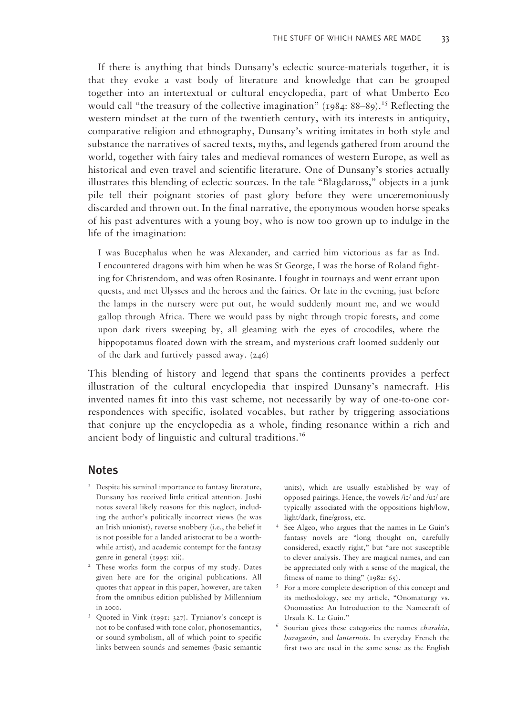If there is anything that binds Dunsany's eclectic source-materials together, it is that they evoke a vast body of literature and knowledge that can be grouped together into an intertextual or cultural encyclopedia, part of what Umberto Eco would call "the treasury of the collective imagination" ( $1984: 88-89$ ).<sup>15</sup> Reflecting the western mindset at the turn of the twentieth century, with its interests in antiquity, comparative religion and ethnography, Dunsany's writing imitates in both style and substance the narratives of sacred texts, myths, and legends gathered from around the world, together with fairy tales and medieval romances of western Europe, as well as historical and even travel and scientific literature. One of Dunsany's stories actually illustrates this blending of eclectic sources. In the tale "Blagdaross," objects in a junk pile tell their poignant stories of past glory before they were unceremoniously discarded and thrown out. In the final narrative, the eponymous wooden horse speaks of his past adventures with a young boy, who is now too grown up to indulge in the life of the imagination:

I was Bucephalus when he was Alexander, and carried him victorious as far as Ind. I encountered dragons with him when he was St George, I was the horse of Roland fighting for Christendom, and was often Rosinante. I fought in tournays and went errant upon quests, and met Ulysses and the heroes and the fairies. Or late in the evening, just before the lamps in the nursery were put out, he would suddenly mount me, and we would gallop through Africa. There we would pass by night through tropic forests, and come upon dark rivers sweeping by, all gleaming with the eyes of crocodiles, where the hippopotamus floated down with the stream, and mysterious craft loomed suddenly out of the dark and furtively passed away. (246)

This blending of history and legend that spans the continents provides a perfect illustration of the cultural encyclopedia that inspired Dunsany's namecraft. His invented names fit into this vast scheme, not necessarily by way of one-to-one correspondences with specific, isolated vocables, but rather by triggering associations that conjure up the encyclopedia as a whole, finding resonance within a rich and ancient body of linguistic and cultural traditions.16

#### Notes

- <sup>1</sup> Despite his seminal importance to fantasy literature, Dunsany has received little critical attention. Joshi notes several likely reasons for this neglect, including the author's politically incorrect views (he was an Irish unionist), reverse snobbery (i.e., the belief it is not possible for a landed aristocrat to be a worthwhile artist), and academic contempt for the fantasy genre in general (1995: xii).<br><sup>2</sup> These works form the corpus of my study. Dates
- given here are for the original publications. All quotes that appear in this paper, however, are taken from the omnibus edition published by Millennium in 2000.<br><sup>3</sup> Quoted in Vink (1991: 327). Tynianov's concept is
- not to be confused with tone color, phonosemantics, or sound symbolism, all of which point to specific links between sounds and sememes (basic semantic

units), which are usually established by way of opposed pairings. Hence, the vowels /iː/ and /uː/ are typically associated with the oppositions high/low, light/dark, fine/gross, etc.<br>See Algeo, who argues that the names in Le Guin's

- fantasy novels are "long thought on, carefully considered, exactly right," but "are not susceptible to clever analysis. They are magical names, and can be appreciated only with a sense of the magical, the fitness of name to thing"  $(1982: 65)$ .
- 5 For a more complete description of this concept and its methodology, see my article, "Onomaturgy vs. Onomastics: An Introduction to the Namecraft of Ursula K. Le Guin." 6 Souriau gives these categories the names *charabia*,
- *baraguoin*, and *lanternois*. In everyday French the first two are used in the same sense as the English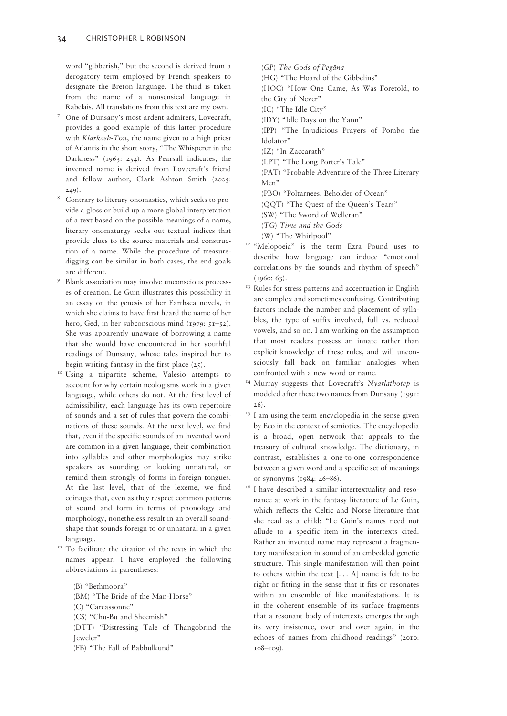word "gibberish," but the second is derived from a derogatory term employed by French speakers to designate the Breton language. The third is taken from the name of a nonsensical language in Rabelais. All translations from this text are my own.

- 7 One of Dunsany's most ardent admirers, Lovecraft, provides a good example of this latter procedure with *Klarkash-Ton*, the name given to a high priest of Atlantis in the short story, "The Whisperer in the Darkness" (1963: 254). As Pearsall indicates, the invented name is derived from Lovecraft's friend and fellow author, Clark Ashton Smith (2005: 249).
- Contrary to literary onomastics, which seeks to provide a gloss or build up a more global interpretation of a text based on the possible meanings of a name, literary onomaturgy seeks out textual indices that provide clues to the source materials and construction of a name. While the procedure of treasuredigging can be similar in both cases, the end goals are different.<br>Blank association may involve unconscious process-
- es of creation. Le Guin illustrates this possibility in an essay on the genesis of her Earthsea novels, in which she claims to have first heard the name of her hero, Ged, in her subconscious mind (1979: 51–52). She was apparently unaware of borrowing a name that she would have encountered in her youthful readings of Dunsany, whose tales inspired her to begin writing fantasy in the first place  $(25)$ .<br><sup>10</sup> Using a tripartite scheme, Valesio attempts to
- account for why certain neologisms work in a given language, while others do not. At the first level of admissibility, each language has its own repertoire of sounds and a set of rules that govern the combinations of these sounds. At the next level, we find that, even if the specific sounds of an invented word are common in a given language, their combination into syllables and other morphologies may strike speakers as sounding or looking unnatural, or remind them strongly of forms in foreign tongues. At the last level, that of the lexeme, we find coinages that, even as they respect common patterns of sound and form in terms of phonology and morphology, nonetheless result in an overall soundshape that sounds foreign to or unnatural in a given language.
- <sup>11</sup> To facilitate the citation of the texts in which the names appear, I have employed the following abbreviations in parentheses:

(B) "Bethmoora" (BM) "The Bride of the Man-Horse" (C) "Carcassonne" (CS) "Chu-Bu and Sheemish" (DTT) "Distressing Tale of Thangobrind the Jeweler"

(FB) "The Fall of Babbulkund"

- (HG) "The Hoard of the Gibbelins" (HOC) "How One Came, As Was Foretold, to the City of Never" (IC) "The Idle City" (IDY) "Idle Days on the Yann" (IPP) "The Injudicious Prayers of Pombo the Idolator" (IZ) "In Zaccarath" (LPT) "The Long Porter's Tale" (PAT) "Probable Adventure of the Three Literary Men" (PBO) "Poltarnees, Beholder of Ocean" (QQT) "The Quest of the Queen's Tears" (SW) "The Sword of Welleran"
	- (*TG*) *Time and the Gods*

(*GP*) *The Gods of Pegāna*

- (W) "The Whirlpool"
- <sup>12</sup> "Melopoeia" is the term Ezra Pound uses to describe how language can induce "emotional correlations by the sounds and rhythm of speech" (1960: 63).
- <sup>13</sup> Rules for stress patterns and accentuation in English are complex and sometimes confusing. Contributing factors include the number and placement of syllables, the type of suffix involved, full vs. reduced vowels, and so on. I am working on the assumption that most readers possess an innate rather than explicit knowledge of these rules, and will unconsciously fall back on familiar analogies when confronted with a new word or name. 14 Murray suggests that Lovecraft's *Nyarlathotep* is
- modeled after these two names from Dunsany (1991: 26).
- <sup>15</sup> I am using the term encyclopedia in the sense given by Eco in the context of semiotics. The encyclopedia is a broad, open network that appeals to the treasury of cultural knowledge. The dictionary, in contrast, establishes a one-to-one correspondence between a given word and a specific set of meanings or synonyms (1984: 46–86).
- <sup>16</sup> I have described a similar intertextuality and resonance at work in the fantasy literature of Le Guin, which reflects the Celtic and Norse literature that she read as a child: "Le Guin's names need not allude to a specific item in the intertexts cited. Rather an invented name may represent a fragmentary manifestation in sound of an embedded genetic structure. This single manifestation will then point to others within the text [. . . A] name is felt to be right or fitting in the sense that it fits or resonates within an ensemble of like manifestations. It is in the coherent ensemble of its surface fragments that a resonant body of intertexts emerges through its very insistence, over and over again, in the echoes of names from childhood readings" (2010: 108–109).